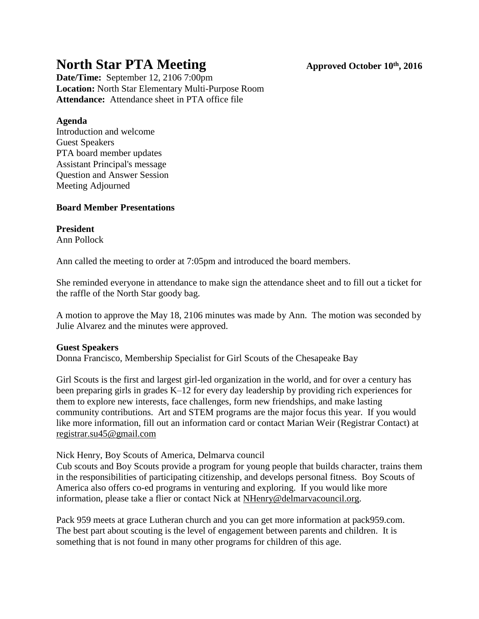#### Approved October  $10^{th}$ , 2016

# **North Star PTA Meeting**

**Date/Time:** September 12, 2106 7:00pm **Location:** North Star Elementary Multi-Purpose Room **Attendance:** Attendance sheet in PTA office file

#### **Agenda**

Introduction and welcome Guest Speakers PTA board member updates Assistant Principal's message Question and Answer Session Meeting Adjourned

### **Board Member Presentations**

**President** Ann Pollock

Ann called the meeting to order at 7:05pm and introduced the board members.

She reminded everyone in attendance to make sign the attendance sheet and to fill out a ticket for the raffle of the North Star goody bag.

A motion to approve the May 18, 2106 minutes was made by Ann. The motion was seconded by Julie Alvarez and the minutes were approved.

# **Guest Speakers**

Donna Francisco, Membership Specialist for Girl Scouts of the Chesapeake Bay

Girl Scouts is the first and largest girl-led organization in the world, and for over a century has been preparing girls in grades K–12 for every day leadership by providing rich experiences for them to explore new interests, face challenges, form new friendships, and make lasting community contributions. Art and STEM programs are the major focus this year. If you would like more information, fill out an information card or contact Marian Weir (Registrar Contact) at [registrar.su45@gmail.com](mailto:registrar.su45@gmail.com)

Nick Henry, Boy Scouts of America, Delmarva council

Cub scouts and Boy Scouts provide a program for young people that builds character, trains them in the responsibilities of participating citizenship, and develops personal fitness. Boy Scouts of America also offers co-ed programs in venturing and exploring. If you would like more information, please take a flier or contact Nick at [NHenry@delmarvacouncil.org.](mailto:NHenry@delmarvacouncil.org)

Pack 959 meets at grace Lutheran church and you can get more information at pack959.com. The best part about scouting is the level of engagement between parents and children. It is something that is not found in many other programs for children of this age.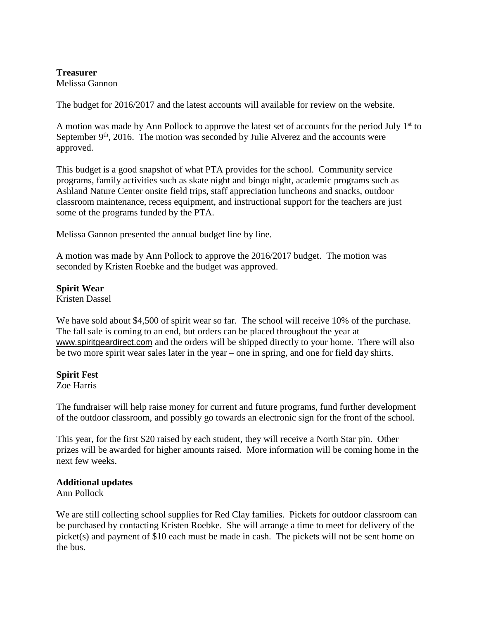# **Treasurer**

Melissa Gannon

The budget for 2016/2017 and the latest accounts will available for review on the website.

A motion was made by Ann Pollock to approve the latest set of accounts for the period July 1<sup>st</sup> to September  $9<sup>th</sup>$ , 2016. The motion was seconded by Julie Alverez and the accounts were approved.

This budget is a good snapshot of what PTA provides for the school. Community service programs, family activities such as skate night and bingo night, academic programs such as Ashland Nature Center onsite field trips, staff appreciation luncheons and snacks, outdoor classroom maintenance, recess equipment, and instructional support for the teachers are just some of the programs funded by the PTA.

Melissa Gannon presented the annual budget line by line.

A motion was made by Ann Pollock to approve the 2016/2017 budget. The motion was seconded by Kristen Roebke and the budget was approved.

# **Spirit Wear**

Kristen Dassel

We have sold about \$4,500 of spirit wear so far. The school will receive 10% of the purchase. The fall sale is coming to an end, but orders can be placed throughout the year at [www.spiritgeardirect.com](http://spiritgeardirect.com/) and the orders will be shipped directly to your home. There will also be two more spirit wear sales later in the year – one in spring, and one for field day shirts.

# **Spirit Fest**

Zoe Harris

The fundraiser will help raise money for current and future programs, fund further development of the outdoor classroom, and possibly go towards an electronic sign for the front of the school.

This year, for the first \$20 raised by each student, they will receive a North Star pin. Other prizes will be awarded for higher amounts raised. More information will be coming home in the next few weeks.

# **Additional updates**

Ann Pollock

We are still collecting school supplies for Red Clay families. Pickets for outdoor classroom can be purchased by contacting Kristen Roebke. She will arrange a time to meet for delivery of the picket(s) and payment of \$10 each must be made in cash. The pickets will not be sent home on the bus.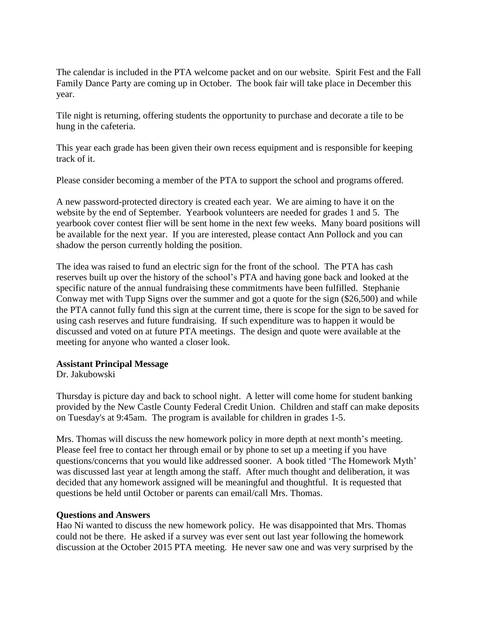The calendar is included in the PTA welcome packet and on our website. Spirit Fest and the Fall Family Dance Party are coming up in October. The book fair will take place in December this year.

Tile night is returning, offering students the opportunity to purchase and decorate a tile to be hung in the cafeteria.

This year each grade has been given their own recess equipment and is responsible for keeping track of it.

Please consider becoming a member of the PTA to support the school and programs offered.

A new password-protected directory is created each year. We are aiming to have it on the website by the end of September. Yearbook volunteers are needed for grades 1 and 5. The yearbook cover contest flier will be sent home in the next few weeks. Many board positions will be available for the next year. If you are interested, please contact Ann Pollock and you can shadow the person currently holding the position.

The idea was raised to fund an electric sign for the front of the school. The PTA has cash reserves built up over the history of the school's PTA and having gone back and looked at the specific nature of the annual fundraising these commitments have been fulfilled. Stephanie Conway met with Tupp Signs over the summer and got a quote for the sign (\$26,500) and while the PTA cannot fully fund this sign at the current time, there is scope for the sign to be saved for using cash reserves and future fundraising. If such expenditure was to happen it would be discussed and voted on at future PTA meetings. The design and quote were available at the meeting for anyone who wanted a closer look.

#### **Assistant Principal Message**

Dr. Jakubowski

Thursday is picture day and back to school night. A letter will come home for student banking provided by the New Castle County Federal Credit Union. Children and staff can make deposits on Tuesday's at 9:45am. The program is available for children in grades 1-5.

Mrs. Thomas will discuss the new homework policy in more depth at next month's meeting. Please feel free to contact her through email or by phone to set up a meeting if you have questions/concerns that you would like addressed sooner. A book titled 'The Homework Myth' was discussed last year at length among the staff. After much thought and deliberation, it was decided that any homework assigned will be meaningful and thoughtful. It is requested that questions be held until October or parents can email/call Mrs. Thomas.

#### **Questions and Answers**

Hao Ni wanted to discuss the new homework policy. He was disappointed that Mrs. Thomas could not be there. He asked if a survey was ever sent out last year following the homework discussion at the October 2015 PTA meeting. He never saw one and was very surprised by the